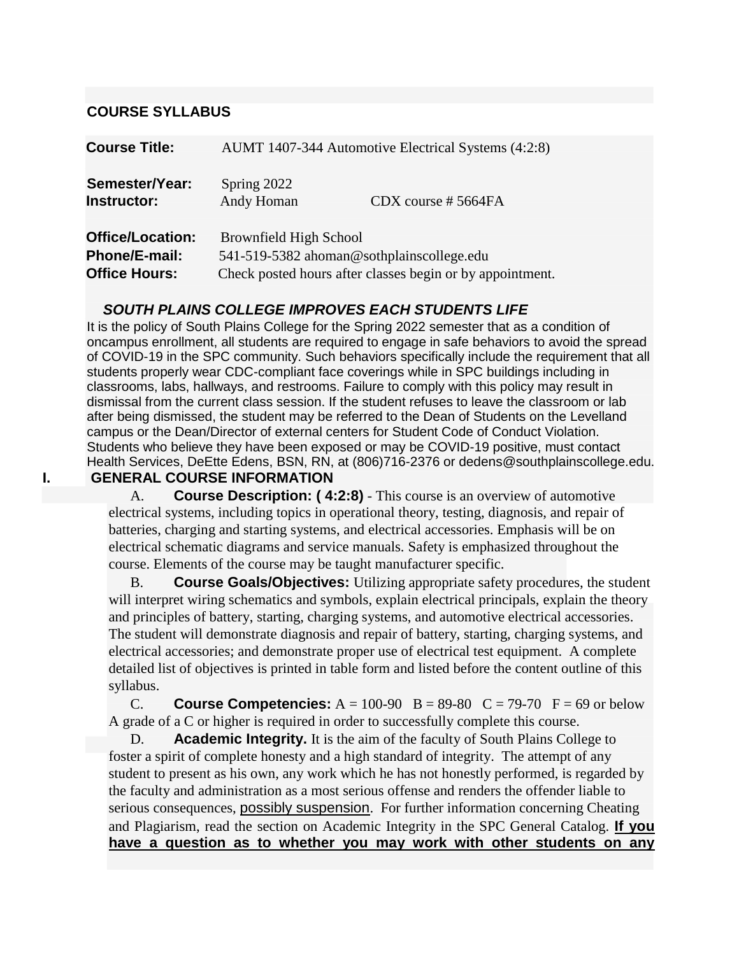#### **COURSE SYLLABUS**

| <b>Course Title:</b>                                             |                               | AUMT 1407-344 Automotive Electrical Systems (4:2:8)                                                    |
|------------------------------------------------------------------|-------------------------------|--------------------------------------------------------------------------------------------------------|
| Semester/Year:<br>Instructor:                                    | Spring 2022<br>Andy Homan     | $CDX$ course #5664FA                                                                                   |
| <b>Office/Location:</b><br>Phone/E-mail:<br><b>Office Hours:</b> | <b>Brownfield High School</b> | 541-519-5382 ahoman@sothplainscollege.edu<br>Check posted hours after classes begin or by appointment. |

#### *SOUTH PLAINS COLLEGE IMPROVES EACH STUDENTS LIFE*

It is the policy of South Plains College for the Spring 2022 semester that as a condition of oncampus enrollment, all students are required to engage in safe behaviors to avoid the spread of COVID-19 in the SPC community. Such behaviors specifically include the requirement that all students properly wear CDC-compliant face coverings while in SPC buildings including in classrooms, labs, hallways, and restrooms. Failure to comply with this policy may result in dismissal from the current class session. If the student refuses to leave the classroom or lab after being dismissed, the student may be referred to the Dean of Students on the Levelland campus or the Dean/Director of external centers for Student Code of Conduct Violation. Students who believe they have been exposed or may be COVID-19 positive, must contact Health Services, DeEtte Edens, BSN, RN, at (806)716-2376 or dedens@southplainscollege.edu. **I. GENERAL COURSE INFORMATION**

> A. **Course Description: ( 4:2:8)** - This course is an overview of automotive electrical systems, including topics in operational theory, testing, diagnosis, and repair of batteries, charging and starting systems, and electrical accessories. Emphasis will be on electrical schematic diagrams and service manuals. Safety is emphasized throughout the course. Elements of the course may be taught manufacturer specific.

B. **Course Goals/Objectives:** Utilizing appropriate safety procedures, the student will interpret wiring schematics and symbols, explain electrical principals, explain the theory and principles of battery, starting, charging systems, and automotive electrical accessories. The student will demonstrate diagnosis and repair of battery, starting, charging systems, and electrical accessories; and demonstrate proper use of electrical test equipment. A complete detailed list of objectives is printed in table form and listed before the content outline of this syllabus.

C. **Course Competencies:**  $A = 100-90$   $B = 89-80$   $C = 79-70$   $F = 69$  or below A grade of a C or higher is required in order to successfully complete this course.

D. **Academic Integrity.** It is the aim of the faculty of South Plains College to foster a spirit of complete honesty and a high standard of integrity. The attempt of any student to present as his own, any work which he has not honestly performed, is regarded by the faculty and administration as a most serious offense and renders the offender liable to serious consequences, possibly suspension. For further information concerning Cheating and Plagiarism, read the section on Academic Integrity in the SPC General Catalog. **If you have a question as to whether you may work with other students on any**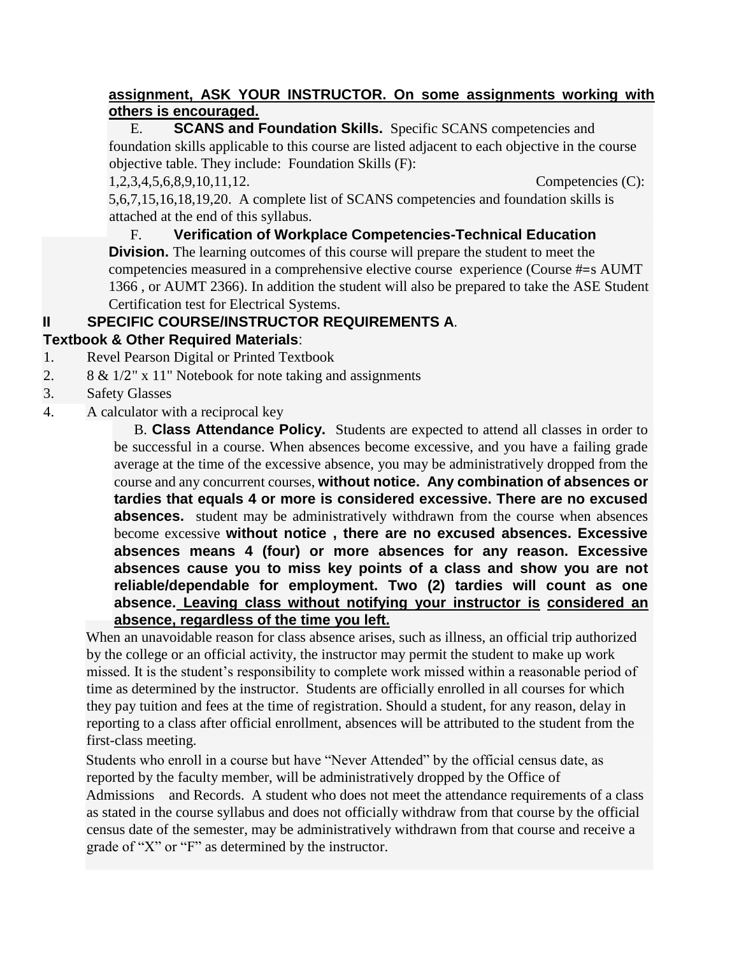#### **assignment, ASK YOUR INSTRUCTOR. On some assignments working with others is encouraged.**

E. **SCANS and Foundation Skills.** Specific SCANS competencies and foundation skills applicable to this course are listed adjacent to each objective in the course objective table. They include: Foundation Skills (F):

1,2,3,4,5,6,8,9,10,11,12. Competencies (C):

5,6,7,15,16,18,19,20. A complete list of SCANS competencies and foundation skills is attached at the end of this syllabus.

F. **Verification of Workplace Competencies-Technical Education Division.** The learning outcomes of this course will prepare the student to meet the competencies measured in a comprehensive elective course experience (Course #=s AUMT 1366 , or AUMT 2366). In addition the student will also be prepared to take the ASE Student Certification test for Electrical Systems.

# **II SPECIFIC COURSE/INSTRUCTOR REQUIREMENTS A**.

## **Textbook & Other Required Materials**:

- 1. Revel Pearson Digital or Printed Textbook
- 2. 8 & 1/2" x 11" Notebook for note taking and assignments
- 3. Safety Glasses
- 4. A calculator with a reciprocal key

B. **Class Attendance Policy.** Students are expected to attend all classes in order to be successful in a course. When absences become excessive, and you have a failing grade average at the time of the excessive absence, you may be administratively dropped from the course and any concurrent courses, **without notice. Any combination of absences or tardies that equals 4 or more is considered excessive. There are no excused absences.** student may be administratively withdrawn from the course when absences become excessive **without notice , there are no excused absences. Excessive absences means 4 (four) or more absences for any reason. Excessive absences cause you to miss key points of a class and show you are not reliable/dependable for employment. Two (2) tardies will count as one absence. Leaving class without notifying your instructor is considered an absence, regardless of the time you left.**

When an unavoidable reason for class absence arises, such as illness, an official trip authorized by the college or an official activity, the instructor may permit the student to make up work missed. It is the student's responsibility to complete work missed within a reasonable period of time as determined by the instructor. Students are officially enrolled in all courses for which they pay tuition and fees at the time of registration. Should a student, for any reason, delay in reporting to a class after official enrollment, absences will be attributed to the student from the first-class meeting.

Students who enroll in a course but have "Never Attended" by the official census date, as reported by the faculty member, will be administratively dropped by the Office of Admissions and Records. A student who does not meet the attendance requirements of a class as stated in the course syllabus and does not officially withdraw from that course by the official census date of the semester, may be administratively withdrawn from that course and receive a grade of "X" or "F" as determined by the instructor.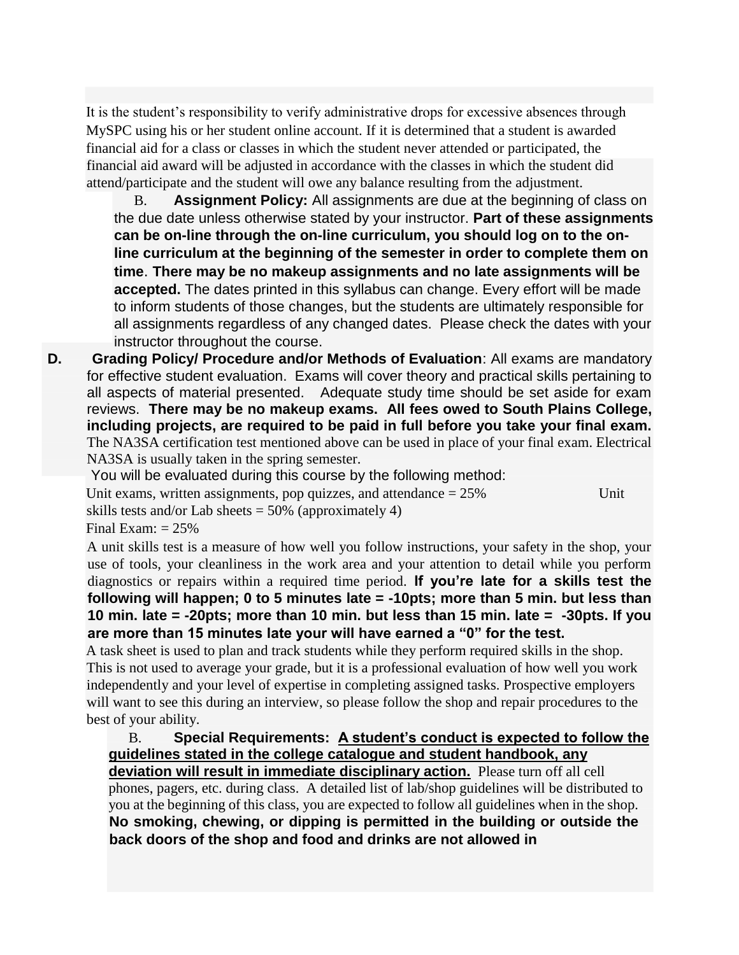It is the student's responsibility to verify administrative drops for excessive absences through MySPC using his or her student online account. If it is determined that a student is awarded financial aid for a class or classes in which the student never attended or participated, the financial aid award will be adjusted in accordance with the classes in which the student did attend/participate and the student will owe any balance resulting from the adjustment.

B. **Assignment Policy:** All assignments are due at the beginning of class on the due date unless otherwise stated by your instructor. **Part of these assignments can be on-line through the on-line curriculum, you should log on to the online curriculum at the beginning of the semester in order to complete them on time**. **There may be no makeup assignments and no late assignments will be accepted.** The dates printed in this syllabus can change. Every effort will be made to inform students of those changes, but the students are ultimately responsible for all assignments regardless of any changed dates. Please check the dates with your instructor throughout the course.

**D. Grading Policy/ Procedure and/or Methods of Evaluation**: All exams are mandatory for effective student evaluation. Exams will cover theory and practical skills pertaining to all aspects of material presented. Adequate study time should be set aside for exam reviews. **There may be no makeup exams. All fees owed to South Plains College, including projects, are required to be paid in full before you take your final exam.**  The NA3SA certification test mentioned above can be used in place of your final exam. Electrical NA3SA is usually taken in the spring semester.

You will be evaluated during this course by the following method:

Unit exams, written assignments, pop quizzes, and attendance  $= 25\%$  Unit

skills tests and/or Lab sheets  $= 50\%$  (approximately 4)

Final Exam:  $= 25\%$ 

A unit skills test is a measure of how well you follow instructions, your safety in the shop, your use of tools, your cleanliness in the work area and your attention to detail while you perform diagnostics or repairs within a required time period. **If you're late for a skills test the following will happen; 0 to 5 minutes late = -10pts; more than 5 min. but less than 10 min. late = -20pts; more than 10 min. but less than 15 min. late = -30pts. If you are more than 15 minutes late your will have earned a "0" for the test.**

A task sheet is used to plan and track students while they perform required skills in the shop. This is not used to average your grade, but it is a professional evaluation of how well you work independently and your level of expertise in completing assigned tasks. Prospective employers will want to see this during an interview, so please follow the shop and repair procedures to the best of your ability.

B. **Special Requirements: A student's conduct is expected to follow the guidelines stated in the college catalogue and student handbook, any deviation will result in immediate disciplinary action.** Please turn off all cell phones, pagers, etc. during class. A detailed list of lab/shop guidelines will be distributed to you at the beginning of this class, you are expected to follow all guidelines when in the shop. **No smoking, chewing, or dipping is permitted in the building or outside the back doors of the shop and food and drinks are not allowed in**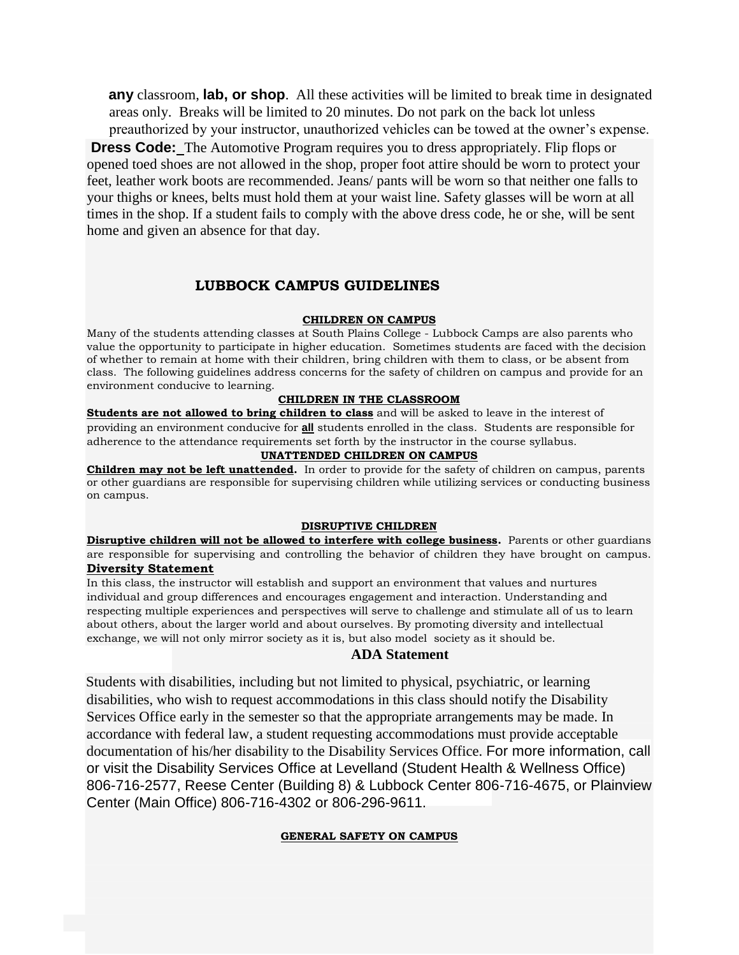**any** classroom, **lab, or shop**. All these activities will be limited to break time in designated areas only. Breaks will be limited to 20 minutes. Do not park on the back lot unless preauthorized by your instructor, unauthorized vehicles can be towed at the owner's expense.

**Dress Code:** The Automotive Program requires you to dress appropriately. Flip flops or opened toed shoes are not allowed in the shop, proper foot attire should be worn to protect your feet, leather work boots are recommended. Jeans/ pants will be worn so that neither one falls to your thighs or knees, belts must hold them at your waist line. Safety glasses will be worn at all times in the shop. If a student fails to comply with the above dress code, he or she, will be sent home and given an absence for that day.

#### **LUBBOCK CAMPUS GUIDELINES**

#### **CHILDREN ON CAMPUS**

Many of the students attending classes at South Plains College - Lubbock Camps are also parents who value the opportunity to participate in higher education. Sometimes students are faced with the decision of whether to remain at home with their children, bring children with them to class, or be absent from class. The following guidelines address concerns for the safety of children on campus and provide for an environment conducive to learning.

#### **CHILDREN IN THE CLASSROOM**

**Students are not allowed to bring children to class** and will be asked to leave in the interest of providing an environment conducive for **all** students enrolled in the class. Students are responsible for adherence to the attendance requirements set forth by the instructor in the course syllabus.

#### **UNATTENDED CHILDREN ON CAMPUS**

**Children may not be left unattended.** In order to provide for the safety of children on campus, parents or other guardians are responsible for supervising children while utilizing services or conducting business on campus.

#### **DISRUPTIVE CHILDREN**

**Disruptive children will not be allowed to interfere with college business.** Parents or other guardians are responsible for supervising and controlling the behavior of children they have brought on campus. **Diversity Statement**

In this class, the instructor will establish and support an environment that values and nurtures individual and group differences and encourages engagement and interaction. Understanding and respecting multiple experiences and perspectives will serve to challenge and stimulate all of us to learn about others, about the larger world and about ourselves. By promoting diversity and intellectual exchange, we will not only mirror society as it is, but also model society as it should be.

#### **ADA Statement**

Students with disabilities, including but not limited to physical, psychiatric, or learning disabilities, who wish to request accommodations in this class should notify the Disability Services Office early in the semester so that the appropriate arrangements may be made. In accordance with federal law, a student requesting accommodations must provide acceptable documentation of his/her disability to the Disability Services Office. For more information, call or visit the Disability Services Office at Levelland (Student Health & Wellness Office) 806-716-2577, Reese Center (Building 8) & Lubbock Center 806-716-4675, or Plainview Center (Main Office) 806-716-4302 or 806-296-9611.

#### **GENERAL SAFETY ON CAMPUS**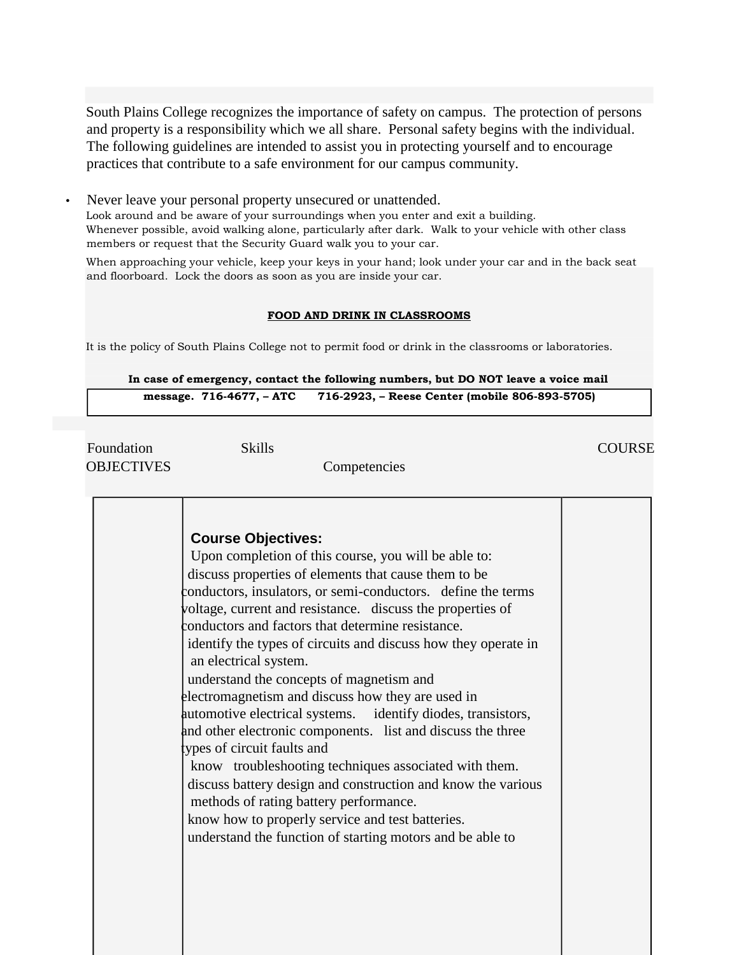South Plains College recognizes the importance of safety on campus. The protection of persons and property is a responsibility which we all share. Personal safety begins with the individual. The following guidelines are intended to assist you in protecting yourself and to encourage practices that contribute to a safe environment for our campus community.

Never leave your personal property unsecured or unattended.

Look around and be aware of your surroundings when you enter and exit a building. Whenever possible, avoid walking alone, particularly after dark. Walk to your vehicle with other class members or request that the Security Guard walk you to your car.

When approaching your vehicle, keep your keys in your hand; look under your car and in the back seat and floorboard. Lock the doors as soon as you are inside your car.

#### **FOOD AND DRINK IN CLASSROOMS**

It is the policy of South Plains College not to permit food or drink in the classrooms or laboratories.

#### **In case of emergency, contact the following numbers, but DO NOT leave a voice mail**

**message. 716-4677, – ATC 716-2923, – Reese Center (mobile 806-893-5705)**

Foundation Skills Skills COURSE OBJECTIVES Competencies

| <b>Course Objectives:</b><br>Upon completion of this course, you will be able to:<br>discuss properties of elements that cause them to be<br>conductors, insulators, or semi-conductors. define the terms<br>voltage, current and resistance. discuss the properties of<br>conductors and factors that determine resistance.<br>identify the types of circuits and discuss how they operate in<br>an electrical system.<br>understand the concepts of magnetism and<br>electromagnetism and discuss how they are used in<br>automotive electrical systems. identify diodes, transistors,<br>and other electronic components. list and discuss the three<br>types of circuit faults and<br>know troubleshooting techniques associated with them.<br>discuss battery design and construction and know the various<br>methods of rating battery performance.<br>know how to properly service and test batteries. |  |
|---------------------------------------------------------------------------------------------------------------------------------------------------------------------------------------------------------------------------------------------------------------------------------------------------------------------------------------------------------------------------------------------------------------------------------------------------------------------------------------------------------------------------------------------------------------------------------------------------------------------------------------------------------------------------------------------------------------------------------------------------------------------------------------------------------------------------------------------------------------------------------------------------------------|--|
| understand the function of starting motors and be able to                                                                                                                                                                                                                                                                                                                                                                                                                                                                                                                                                                                                                                                                                                                                                                                                                                                     |  |
|                                                                                                                                                                                                                                                                                                                                                                                                                                                                                                                                                                                                                                                                                                                                                                                                                                                                                                               |  |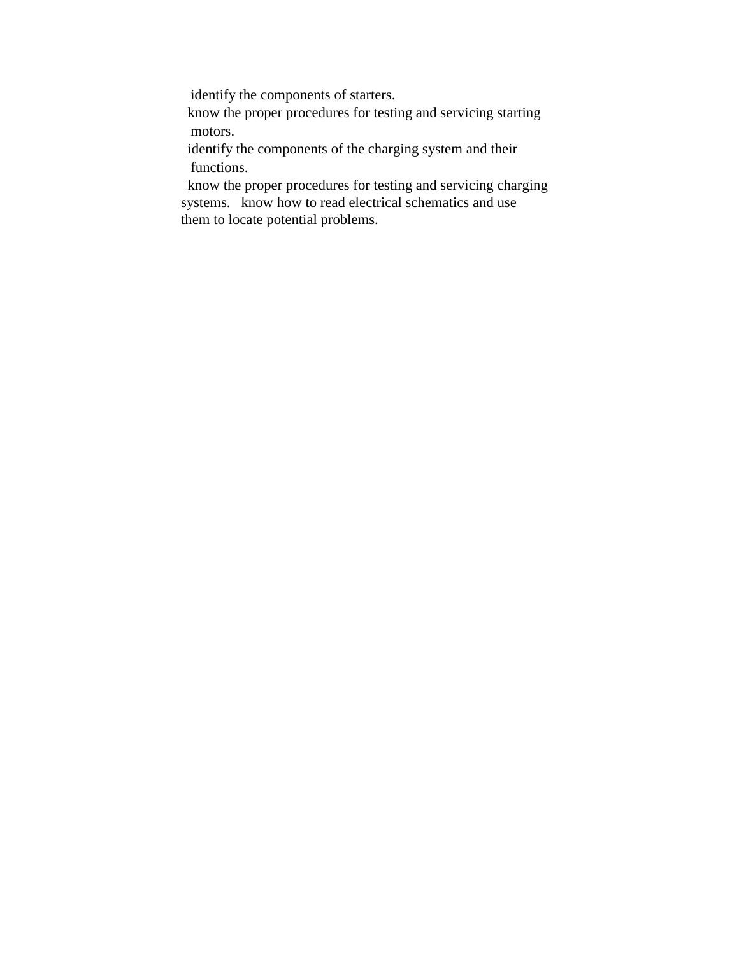identify the components of starters.

 know the proper procedures for testing and servicing starting motors.

 identify the components of the charging system and their functions.

 know the proper procedures for testing and servicing charging systems. know how to read electrical schematics and use them to locate potential problems.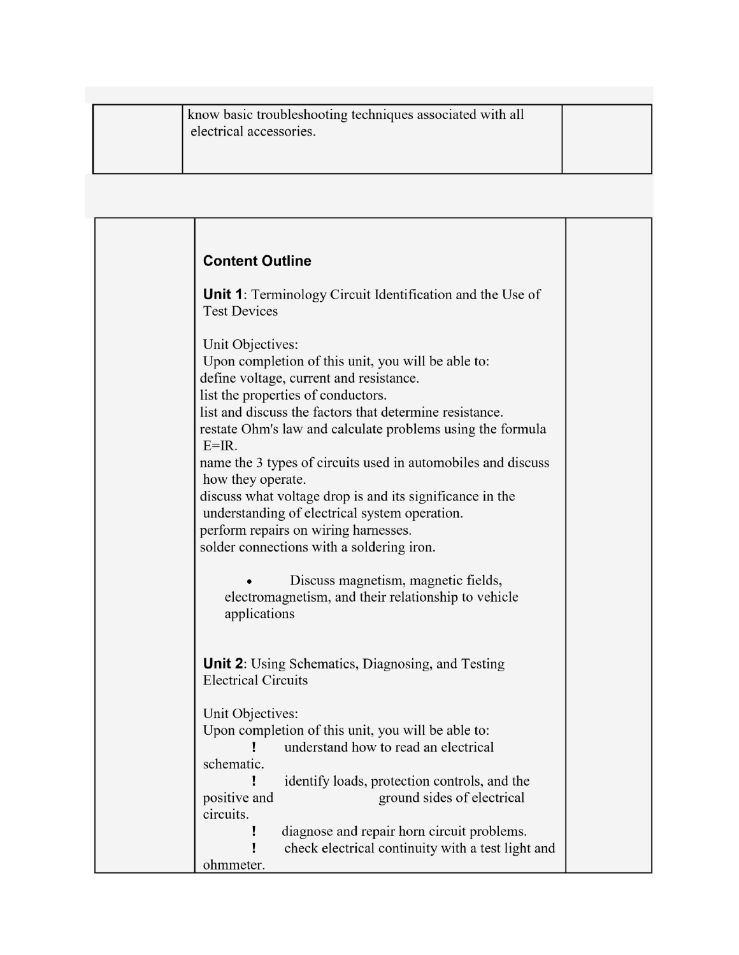| know basic troubleshooting techniques associated with all<br>electrical accessories. |  |
|--------------------------------------------------------------------------------------|--|
|--------------------------------------------------------------------------------------|--|

| <b>Content Outline</b>                                                                                                                                                                                                                                                                                                                                                                                                                                                                                                                                                              |  |
|-------------------------------------------------------------------------------------------------------------------------------------------------------------------------------------------------------------------------------------------------------------------------------------------------------------------------------------------------------------------------------------------------------------------------------------------------------------------------------------------------------------------------------------------------------------------------------------|--|
| Unit 1: Terminology Circuit Identification and the Use of<br><b>Test Devices</b>                                                                                                                                                                                                                                                                                                                                                                                                                                                                                                    |  |
| Unit Objectives:<br>Upon completion of this unit, you will be able to:<br>define voltage, current and resistance.<br>list the properties of conductors.<br>list and discuss the factors that determine resistance.<br>restate Ohm's law and calculate problems using the formula<br>$E=IR$ .<br>name the 3 types of circuits used in automobiles and discuss<br>how they operate.<br>discuss what voltage drop is and its significance in the<br>understanding of electrical system operation.<br>perform repairs on wiring harnesses.<br>solder connections with a soldering iron. |  |
| Discuss magnetism, magnetic fields,<br>electromagnetism, and their relationship to vehicle<br>applications                                                                                                                                                                                                                                                                                                                                                                                                                                                                          |  |
| <b>Unit 2:</b> Using Schematics, Diagnosing, and Testing<br><b>Electrical Circuits</b>                                                                                                                                                                                                                                                                                                                                                                                                                                                                                              |  |
| Unit Objectives:<br>Upon completion of this unit, you will be able to:<br>understand how to read an electrical<br>schematic.                                                                                                                                                                                                                                                                                                                                                                                                                                                        |  |
| identify loads, protection controls, and the<br>ground sides of electrical<br>positive and<br>circuits.<br>diagnose and repair horn circuit problems.<br>check electrical continuity with a test light and                                                                                                                                                                                                                                                                                                                                                                          |  |
| ohmmeter.                                                                                                                                                                                                                                                                                                                                                                                                                                                                                                                                                                           |  |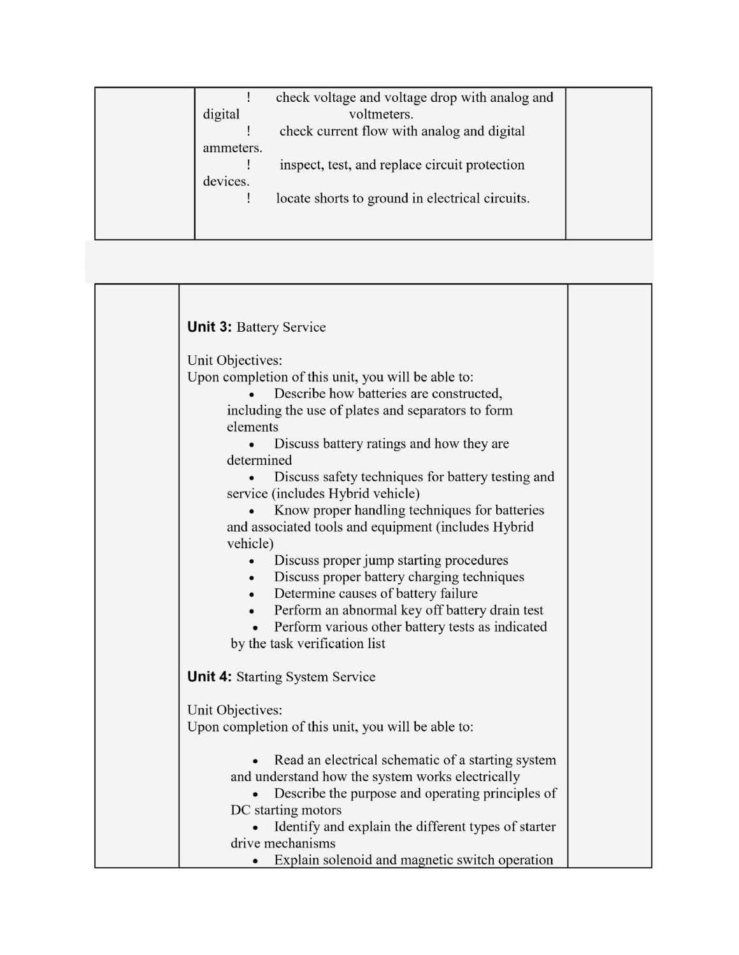|           | check voltage and voltage drop with analog and  |  |
|-----------|-------------------------------------------------|--|
| digital   | voltmeters.                                     |  |
|           | check current flow with analog and digital      |  |
| ammeters. |                                                 |  |
|           | inspect, test, and replace circuit protection   |  |
| devices.  |                                                 |  |
|           | locate shorts to ground in electrical circuits. |  |
|           |                                                 |  |
|           |                                                 |  |

т

т

| <b>Unit 3: Battery Service</b>                                                                                                                                                                                                                                                                                                                                                                                                                              |  |
|-------------------------------------------------------------------------------------------------------------------------------------------------------------------------------------------------------------------------------------------------------------------------------------------------------------------------------------------------------------------------------------------------------------------------------------------------------------|--|
| Unit Objectives:<br>Upon completion of this unit, you will be able to:<br>Describe how batteries are constructed,<br>including the use of plates and separators to form<br>elements<br>Discuss battery ratings and how they are<br>determined<br>Discuss safety techniques for battery testing and<br>service (includes Hybrid vehicle)<br>Know proper handling techniques for batteries<br>and associated tools and equipment (includes Hybrid<br>vehicle) |  |
| Discuss proper jump starting procedures<br>Discuss proper battery charging techniques<br>Determine causes of battery failure<br>Perform an abnormal key off battery drain test<br>Perform various other battery tests as indicated<br>by the task verification list                                                                                                                                                                                         |  |
| <b>Unit 4:</b> Starting System Service                                                                                                                                                                                                                                                                                                                                                                                                                      |  |
| Unit Objectives:<br>Upon completion of this unit, you will be able to:                                                                                                                                                                                                                                                                                                                                                                                      |  |
| Read an electrical schematic of a starting system<br>and understand how the system works electrically<br>Describe the purpose and operating principles of<br>DC starting motors<br>Identify and explain the different types of starter<br>drive mechanisms<br>Explain solenoid and magnetic switch operation                                                                                                                                                |  |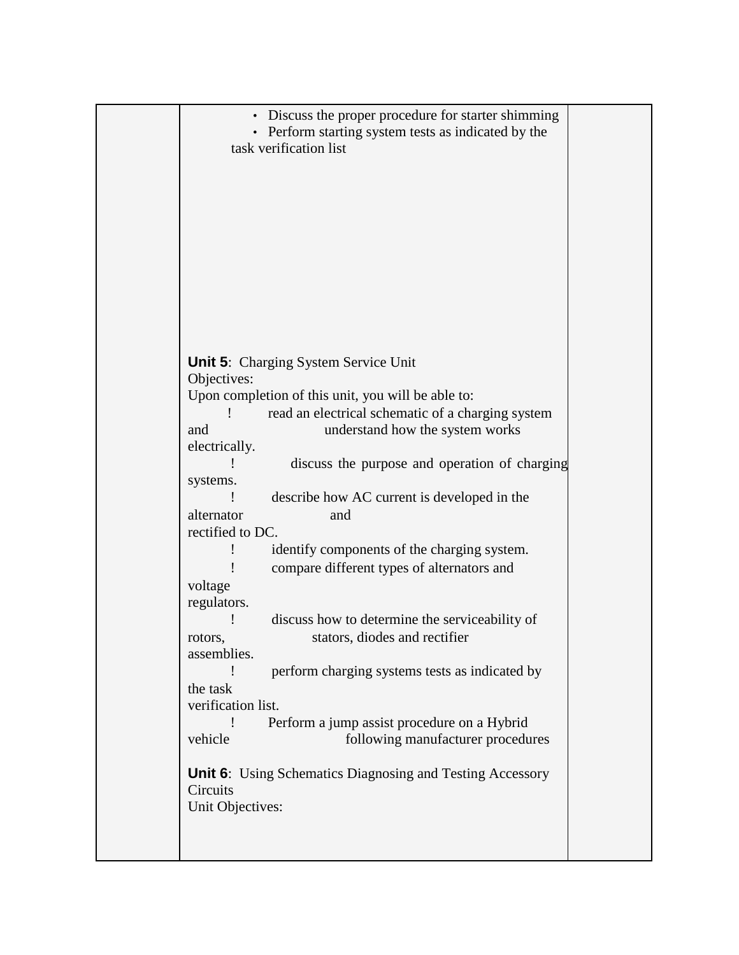| • Discuss the proper procedure for starter shimming<br>• Perform starting system tests as indicated by the<br>task verification list<br><b>Unit 5:</b> Charging System Service Unit<br>Objectives:<br>Upon completion of this unit, you will be able to:<br>read an electrical schematic of a charging system<br>understand how the system works<br>and<br>electrically.<br>discuss the purpose and operation of charging<br>systems.<br>describe how AC current is developed in the<br>alternator<br>and<br>rectified to DC.<br>identify components of the charging system.<br>compare different types of alternators and<br>voltage<br>regulators.<br>discuss how to determine the serviceability of<br>stators, diodes and rectifier<br>rotors,<br>assemblies.<br>perform charging systems tests as indicated by<br>the task<br>verification list.<br>Perform a jump assist procedure on a Hybrid<br>vehicle<br>following manufacturer procedures<br><b>Unit 6:</b> Using Schematics Diagnosing and Testing Accessory<br>Circuits<br>Unit Objectives: |  |  |
|----------------------------------------------------------------------------------------------------------------------------------------------------------------------------------------------------------------------------------------------------------------------------------------------------------------------------------------------------------------------------------------------------------------------------------------------------------------------------------------------------------------------------------------------------------------------------------------------------------------------------------------------------------------------------------------------------------------------------------------------------------------------------------------------------------------------------------------------------------------------------------------------------------------------------------------------------------------------------------------------------------------------------------------------------------|--|--|
|                                                                                                                                                                                                                                                                                                                                                                                                                                                                                                                                                                                                                                                                                                                                                                                                                                                                                                                                                                                                                                                          |  |  |
|                                                                                                                                                                                                                                                                                                                                                                                                                                                                                                                                                                                                                                                                                                                                                                                                                                                                                                                                                                                                                                                          |  |  |
|                                                                                                                                                                                                                                                                                                                                                                                                                                                                                                                                                                                                                                                                                                                                                                                                                                                                                                                                                                                                                                                          |  |  |
|                                                                                                                                                                                                                                                                                                                                                                                                                                                                                                                                                                                                                                                                                                                                                                                                                                                                                                                                                                                                                                                          |  |  |
|                                                                                                                                                                                                                                                                                                                                                                                                                                                                                                                                                                                                                                                                                                                                                                                                                                                                                                                                                                                                                                                          |  |  |
|                                                                                                                                                                                                                                                                                                                                                                                                                                                                                                                                                                                                                                                                                                                                                                                                                                                                                                                                                                                                                                                          |  |  |
|                                                                                                                                                                                                                                                                                                                                                                                                                                                                                                                                                                                                                                                                                                                                                                                                                                                                                                                                                                                                                                                          |  |  |
|                                                                                                                                                                                                                                                                                                                                                                                                                                                                                                                                                                                                                                                                                                                                                                                                                                                                                                                                                                                                                                                          |  |  |
|                                                                                                                                                                                                                                                                                                                                                                                                                                                                                                                                                                                                                                                                                                                                                                                                                                                                                                                                                                                                                                                          |  |  |
|                                                                                                                                                                                                                                                                                                                                                                                                                                                                                                                                                                                                                                                                                                                                                                                                                                                                                                                                                                                                                                                          |  |  |
|                                                                                                                                                                                                                                                                                                                                                                                                                                                                                                                                                                                                                                                                                                                                                                                                                                                                                                                                                                                                                                                          |  |  |
|                                                                                                                                                                                                                                                                                                                                                                                                                                                                                                                                                                                                                                                                                                                                                                                                                                                                                                                                                                                                                                                          |  |  |
|                                                                                                                                                                                                                                                                                                                                                                                                                                                                                                                                                                                                                                                                                                                                                                                                                                                                                                                                                                                                                                                          |  |  |
|                                                                                                                                                                                                                                                                                                                                                                                                                                                                                                                                                                                                                                                                                                                                                                                                                                                                                                                                                                                                                                                          |  |  |
|                                                                                                                                                                                                                                                                                                                                                                                                                                                                                                                                                                                                                                                                                                                                                                                                                                                                                                                                                                                                                                                          |  |  |
|                                                                                                                                                                                                                                                                                                                                                                                                                                                                                                                                                                                                                                                                                                                                                                                                                                                                                                                                                                                                                                                          |  |  |
|                                                                                                                                                                                                                                                                                                                                                                                                                                                                                                                                                                                                                                                                                                                                                                                                                                                                                                                                                                                                                                                          |  |  |
|                                                                                                                                                                                                                                                                                                                                                                                                                                                                                                                                                                                                                                                                                                                                                                                                                                                                                                                                                                                                                                                          |  |  |
|                                                                                                                                                                                                                                                                                                                                                                                                                                                                                                                                                                                                                                                                                                                                                                                                                                                                                                                                                                                                                                                          |  |  |
|                                                                                                                                                                                                                                                                                                                                                                                                                                                                                                                                                                                                                                                                                                                                                                                                                                                                                                                                                                                                                                                          |  |  |
|                                                                                                                                                                                                                                                                                                                                                                                                                                                                                                                                                                                                                                                                                                                                                                                                                                                                                                                                                                                                                                                          |  |  |
|                                                                                                                                                                                                                                                                                                                                                                                                                                                                                                                                                                                                                                                                                                                                                                                                                                                                                                                                                                                                                                                          |  |  |
|                                                                                                                                                                                                                                                                                                                                                                                                                                                                                                                                                                                                                                                                                                                                                                                                                                                                                                                                                                                                                                                          |  |  |
|                                                                                                                                                                                                                                                                                                                                                                                                                                                                                                                                                                                                                                                                                                                                                                                                                                                                                                                                                                                                                                                          |  |  |
|                                                                                                                                                                                                                                                                                                                                                                                                                                                                                                                                                                                                                                                                                                                                                                                                                                                                                                                                                                                                                                                          |  |  |
|                                                                                                                                                                                                                                                                                                                                                                                                                                                                                                                                                                                                                                                                                                                                                                                                                                                                                                                                                                                                                                                          |  |  |
|                                                                                                                                                                                                                                                                                                                                                                                                                                                                                                                                                                                                                                                                                                                                                                                                                                                                                                                                                                                                                                                          |  |  |
|                                                                                                                                                                                                                                                                                                                                                                                                                                                                                                                                                                                                                                                                                                                                                                                                                                                                                                                                                                                                                                                          |  |  |
|                                                                                                                                                                                                                                                                                                                                                                                                                                                                                                                                                                                                                                                                                                                                                                                                                                                                                                                                                                                                                                                          |  |  |
|                                                                                                                                                                                                                                                                                                                                                                                                                                                                                                                                                                                                                                                                                                                                                                                                                                                                                                                                                                                                                                                          |  |  |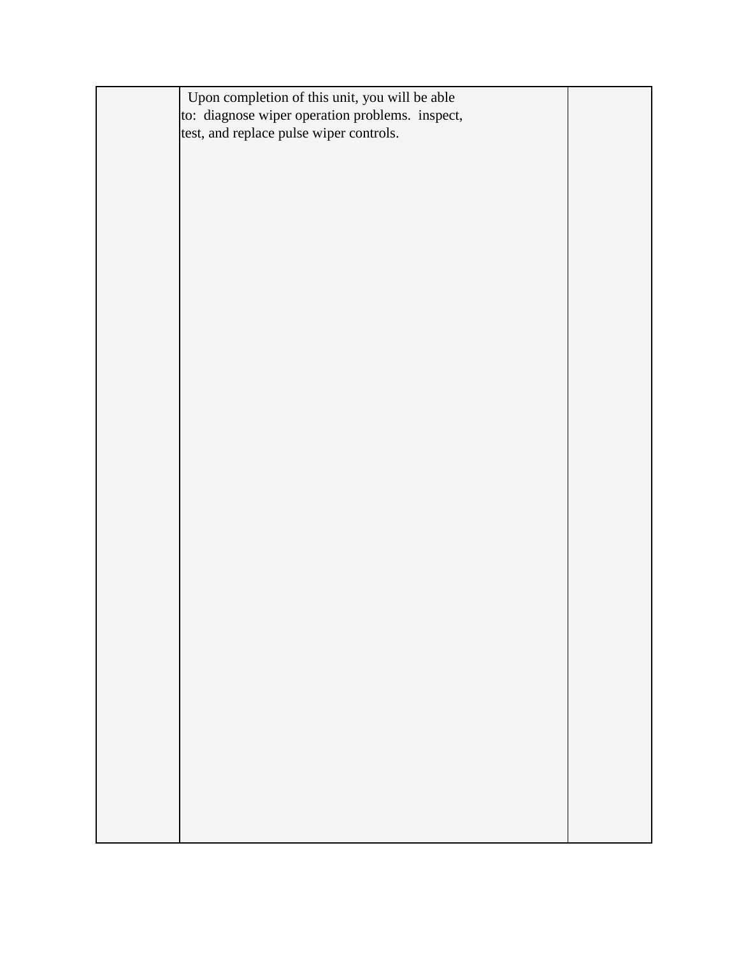| Upon completion of this unit, you will be able  |  |
|-------------------------------------------------|--|
| to: diagnose wiper operation problems. inspect, |  |
| test, and replace pulse wiper controls.         |  |
|                                                 |  |
|                                                 |  |
|                                                 |  |
|                                                 |  |
|                                                 |  |
|                                                 |  |
|                                                 |  |
|                                                 |  |
|                                                 |  |
|                                                 |  |
|                                                 |  |
|                                                 |  |
|                                                 |  |
|                                                 |  |
|                                                 |  |
|                                                 |  |
|                                                 |  |
|                                                 |  |
|                                                 |  |
|                                                 |  |
|                                                 |  |
|                                                 |  |
|                                                 |  |
|                                                 |  |
|                                                 |  |
|                                                 |  |
|                                                 |  |
|                                                 |  |
|                                                 |  |
|                                                 |  |
|                                                 |  |
|                                                 |  |
|                                                 |  |
|                                                 |  |
|                                                 |  |
|                                                 |  |
|                                                 |  |
|                                                 |  |
|                                                 |  |
|                                                 |  |
|                                                 |  |
|                                                 |  |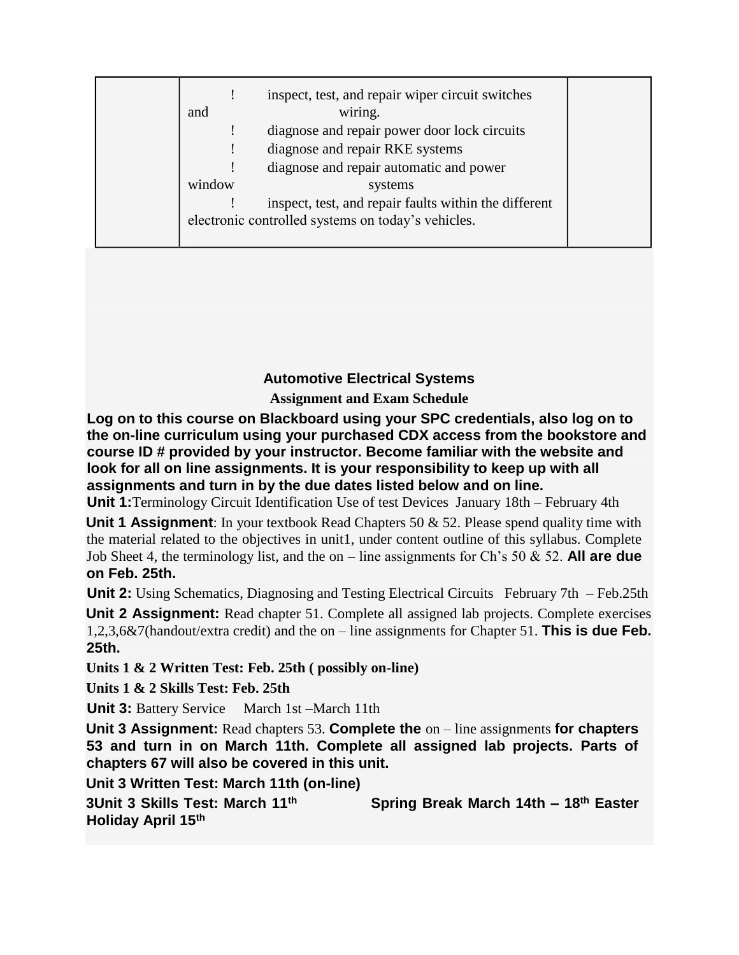| and    | inspect, test, and repair wiper circuit switches<br>wiring. |
|--------|-------------------------------------------------------------|
|        | diagnose and repair power door lock circuits                |
|        | diagnose and repair RKE systems                             |
|        | diagnose and repair automatic and power                     |
| window | systems                                                     |
|        | inspect, test, and repair faults within the different       |
|        | electronic controlled systems on today's vehicles.          |
|        |                                                             |

## **Automotive Electrical Systems**

**Assignment and Exam Schedule** 

**Log on to this course on Blackboard using your SPC credentials, also log on to the on-line curriculum using your purchased CDX access from the bookstore and course ID # provided by your instructor. Become familiar with the website and look for all on line assignments. It is your responsibility to keep up with all assignments and turn in by the due dates listed below and on line.**

**Unit 1:**Terminology Circuit Identification Use of test Devices January 18th – February 4th

**Unit 1 Assignment**: In your textbook Read Chapters 50 & 52. Please spend quality time with the material related to the objectives in unit1, under content outline of this syllabus. Complete Job Sheet 4, the terminology list, and the on – line assignments for Ch's 50 & 52. **All are due on Feb. 25th.**

**Unit 2:** Using Schematics, Diagnosing and Testing Electrical Circuits February 7th – Feb.25th

**Unit 2 Assignment:** Read chapter 51. Complete all assigned lab projects. Complete exercises 1,2,3,6&7(handout/extra credit) and the on – line assignments for Chapter 51. **This is due Feb. 25th.**

**Units 1 & 2 Written Test: Feb. 25th ( possibly on-line)** 

**Units 1 & 2 Skills Test: Feb. 25th** 

**Unit 3:** Battery Service March 1st –March 11th

**Unit 3 Assignment:** Read chapters 53. **Complete the** on – line assignments **for chapters 53 and turn in on March 11th. Complete all assigned lab projects. Parts of chapters 67 will also be covered in this unit.**

**Unit 3 Written Test: March 11th (on-line)**

**3Unit 3 Skills Test: March 11th Spring Break March 14th – 18th Easter Holiday April 15th**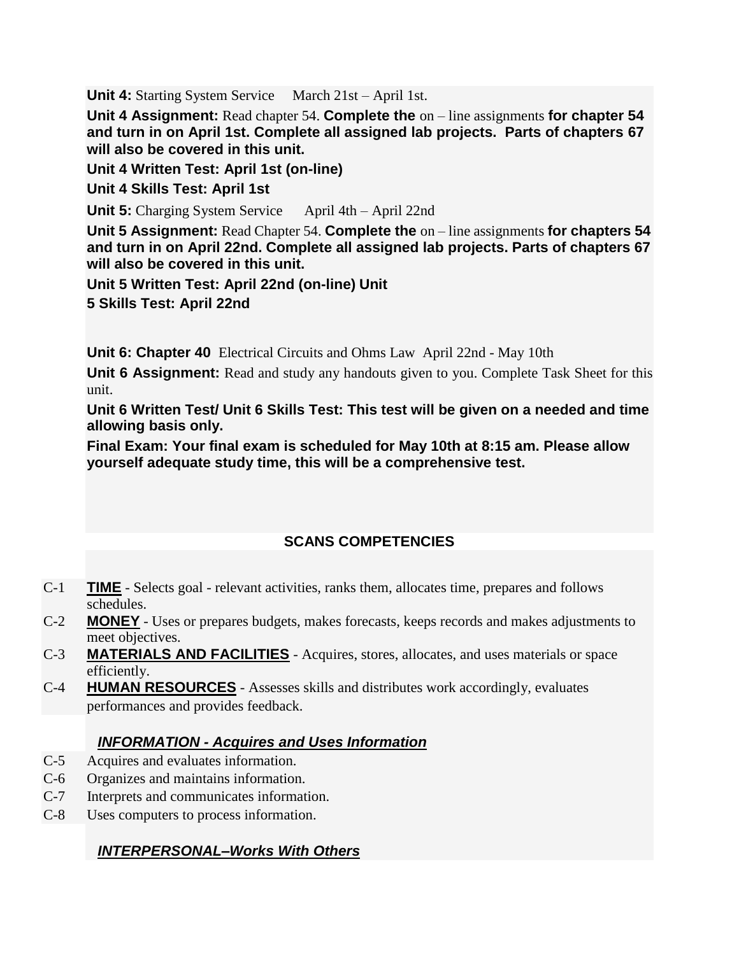**Unit 4:** Starting System Service March 21st – April 1st.

**Unit 4 Assignment:** Read chapter 54. **Complete the** on – line assignments **for chapter 54 and turn in on April 1st. Complete all assigned lab projects. Parts of chapters 67 will also be covered in this unit.**

**Unit 4 Written Test: April 1st (on-line)**

**Unit 4 Skills Test: April 1st** 

**Unit 5:** Charging System Service April 4th – April 22nd

**Unit 5 Assignment:** Read Chapter 54. **Complete the** on – line assignments **for chapters 54 and turn in on April 22nd. Complete all assigned lab projects. Parts of chapters 67 will also be covered in this unit.**

**Unit 5 Written Test: April 22nd (on-line) Unit** 

**5 Skills Test: April 22nd** 

**Unit 6: Chapter 40** Electrical Circuits and Ohms Law April 22nd - May 10th

**Unit 6 Assignment:** Read and study any handouts given to you. Complete Task Sheet for this unit.

**Unit 6 Written Test/ Unit 6 Skills Test: This test will be given on a needed and time allowing basis only.**

**Final Exam: Your final exam is scheduled for May 10th at 8:15 am. Please allow yourself adequate study time, this will be a comprehensive test.**

## **SCANS COMPETENCIES**

- C-1 **TIME** Selects goal relevant activities, ranks them, allocates time, prepares and follows schedules.
- C-2 **MONEY** Uses or prepares budgets, makes forecasts, keeps records and makes adjustments to meet objectives.
- C-3 **MATERIALS AND FACILITIES** Acquires, stores, allocates, and uses materials or space efficiently.
- C-4 **HUMAN RESOURCES** Assesses skills and distributes work accordingly, evaluates performances and provides feedback.

### *INFORMATION - Acquires and Uses Information*

- C-5 Acquires and evaluates information.
- C-6 Organizes and maintains information.
- C-7 Interprets and communicates information.
- C-8 Uses computers to process information.

### *INTERPERSONAL–Works With Others*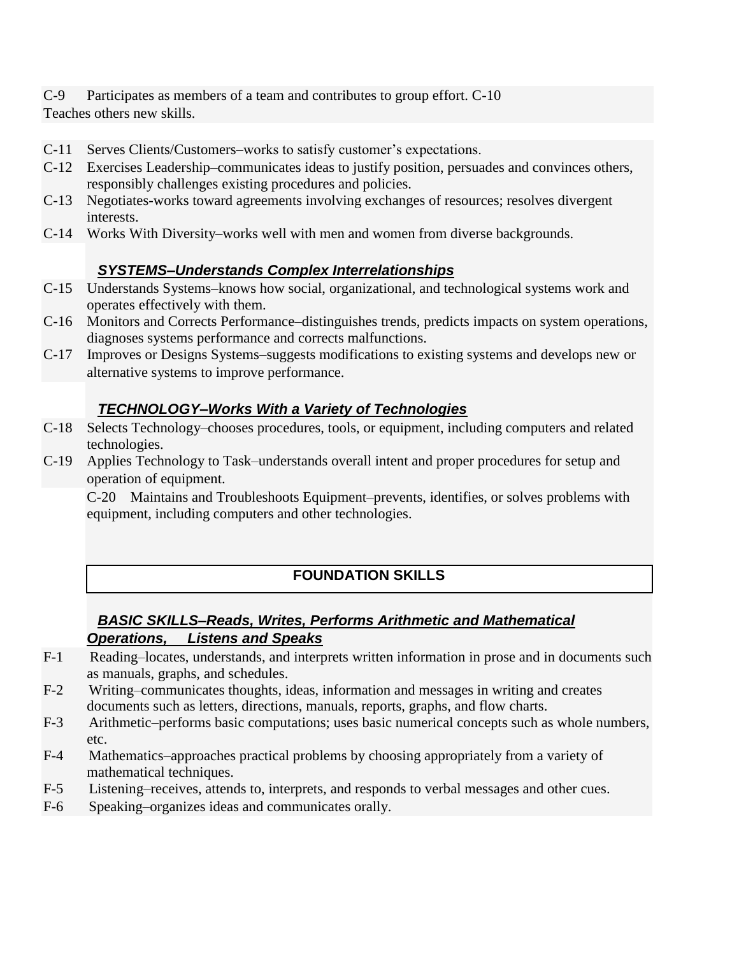C-9 Participates as members of a team and contributes to group effort. C-10 Teaches others new skills.

- C-11 Serves Clients/Customers–works to satisfy customer's expectations.
- C-12 Exercises Leadership–communicates ideas to justify position, persuades and convinces others, responsibly challenges existing procedures and policies.
- C-13 Negotiates-works toward agreements involving exchanges of resources; resolves divergent interests.
- C-14 Works With Diversity–works well with men and women from diverse backgrounds.

### *SYSTEMS–Understands Complex Interrelationships*

- C-15 Understands Systems–knows how social, organizational, and technological systems work and operates effectively with them.
- C-16 Monitors and Corrects Performance–distinguishes trends, predicts impacts on system operations, diagnoses systems performance and corrects malfunctions.
- C-17 Improves or Designs Systems–suggests modifications to existing systems and develops new or alternative systems to improve performance.

### *TECHNOLOGY–Works With a Variety of Technologies*

- C-18 Selects Technology–chooses procedures, tools, or equipment, including computers and related technologies.
- C-19 Applies Technology to Task–understands overall intent and proper procedures for setup and operation of equipment.

C-20 Maintains and Troubleshoots Equipment–prevents, identifies, or solves problems with equipment, including computers and other technologies.

# **FOUNDATION SKILLS**

### *BASIC SKILLS–Reads, Writes, Performs Arithmetic and Mathematical Operations, Listens and Speaks*

- F-1 Reading–locates, understands, and interprets written information in prose and in documents such as manuals, graphs, and schedules.
- F-2 Writing–communicates thoughts, ideas, information and messages in writing and creates documents such as letters, directions, manuals, reports, graphs, and flow charts.
- F-3 Arithmetic–performs basic computations; uses basic numerical concepts such as whole numbers, etc.
- F-4 Mathematics–approaches practical problems by choosing appropriately from a variety of mathematical techniques.
- F-5 Listening–receives, attends to, interprets, and responds to verbal messages and other cues.
- F-6 Speaking–organizes ideas and communicates orally.